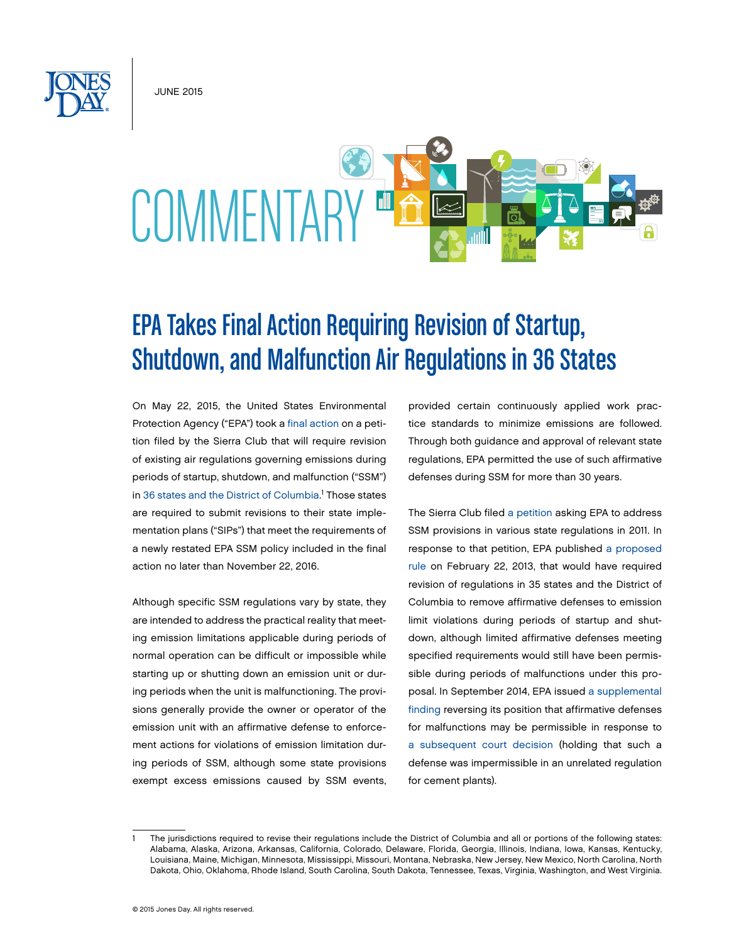JUNE 2015



## EPA Takes Final Action Requiring Revision of Startup, Shutdown, and Malfunction Air Regulations in 36 States

On May 22, 2015, the United States Environmental Protection Agency ("EPA") took a [final action](http://www.epa.gov/airquality/urbanair/sipstatus/docs/20150522fr.pdf) on a petition filed by the Sierra Club that will require revision of existing air regulations governing emissions during periods of startup, shutdown, and malfunction ("SSM") in [36 states and the District of Columbia](http://www.epa.gov/airquality/urbanair/sipstatus/docs/statelist.pdf).<sup>1</sup> Those states are required to submit revisions to their state implementation plans ("SIPs") that meet the requirements of a newly restated EPA SSM policy included in the final action no later than November 22, 2016.

Although specific SSM regulations vary by state, they are intended to address the practical reality that meeting emission limitations applicable during periods of normal operation can be difficult or impossible while starting up or shutting down an emission unit or during periods when the unit is malfunctioning. The provisions generally provide the owner or operator of the emission unit with an affirmative defense to enforcement actions for violations of emission limitation during periods of SSM, although some state provisions exempt excess emissions caused by SSM events, provided certain continuously applied work practice standards to minimize emissions are followed. Through both guidance and approval of relevant state regulations, EPA permitted the use of such affirmative defenses during SSM for more than 30 years.

The Sierra Club filed [a petition](http://www.epa.gov/airquality/urbanair/sipstatus/docs/ssm_sierra_petition_021213.pdf) asking EPA to address SSM provisions in various state regulations in 2011. In response to that petition, EPA published [a proposed](http://www.gpo.gov/fdsys/pkg/FR-2013-02-22/pdf/2013-03734.pdf#page=2) [rule](http://www.gpo.gov/fdsys/pkg/FR-2013-02-22/pdf/2013-03734.pdf#page=2) on February 22, 2013, that would have required revision of regulations in 35 states and the District of Columbia to remove affirmative defenses to emission limit violations during periods of startup and shutdown, although limited affirmative defenses meeting specified requirements would still have been permissible during periods of malfunctions under this proposal. In September 2014, EPA issued [a supplemental](http://www.gpo.gov/fdsys/pkg/FR-2014-09-17/pdf/2014-21830.pdf#page=2) [finding](http://www.gpo.gov/fdsys/pkg/FR-2014-09-17/pdf/2014-21830.pdf#page=2) reversing its position that affirmative defenses for malfunctions may be permissible in response to [a subsequent court decision](http://www.cadc.uscourts.gov/internet/opinions.nsf/ACAE17D2A8131EDF85257CBE004DD976/$file/10-1371-1488926.pdf) (holding that such a defense was impermissible in an unrelated regulation for cement plants).

<sup>1</sup> The jurisdictions required to revise their regulations include the District of Columbia and all or portions of the following states: Alabama, Alaska, Arizona, Arkansas, California, Colorado, Delaware, Florida, Georgia, Illinois, Indiana, Iowa, Kansas, Kentucky, Louisiana, Maine, Michigan, Minnesota, Mississippi, Missouri, Montana, Nebraska, New Jersey, New Mexico, North Carolina, North Dakota, Ohio, Oklahoma, Rhode Island, South Carolina, South Dakota, Tennessee, Texas, Virginia, Washington, and West Virginia.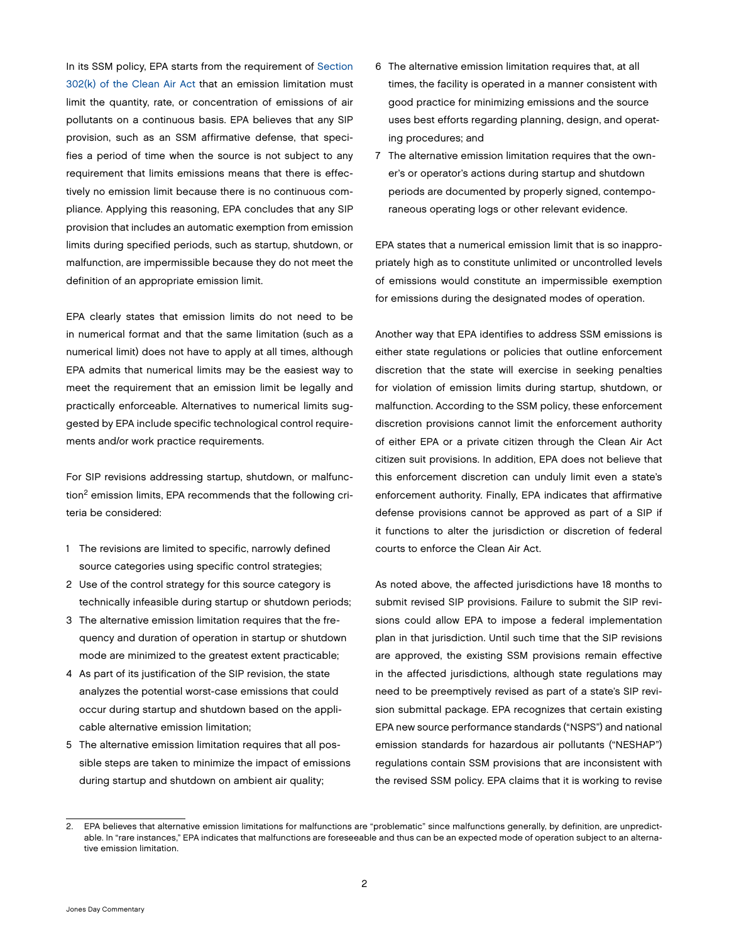In its SSM policy, EPA starts from the requirement of Section [302\(k\) of the Clean Air Act](https://www.law.cornell.edu/uscode/text/42/7602) that an emission limitation must limit the quantity, rate, or concentration of emissions of air pollutants on a continuous basis. EPA believes that any SIP provision, such as an SSM affirmative defense, that specifies a period of time when the source is not subject to any requirement that limits emissions means that there is effectively no emission limit because there is no continuous compliance. Applying this reasoning, EPA concludes that any SIP provision that includes an automatic exemption from emission limits during specified periods, such as startup, shutdown, or malfunction, are impermissible because they do not meet the definition of an appropriate emission limit.

EPA clearly states that emission limits do not need to be in numerical format and that the same limitation (such as a numerical limit) does not have to apply at all times, although EPA admits that numerical limits may be the easiest way to meet the requirement that an emission limit be legally and practically enforceable. Alternatives to numerical limits suggested by EPA include specific technological control requirements and/or work practice requirements.

For SIP revisions addressing startup, shutdown, or malfunction<sup>2</sup> emission limits, EPA recommends that the following criteria be considered:

- 1 The revisions are limited to specific, narrowly defined source categories using specific control strategies;
- 2 Use of the control strategy for this source category is technically infeasible during startup or shutdown periods;
- 3 The alternative emission limitation requires that the frequency and duration of operation in startup or shutdown mode are minimized to the greatest extent practicable;
- 4 As part of its justification of the SIP revision, the state analyzes the potential worst-case emissions that could occur during startup and shutdown based on the applicable alternative emission limitation;
- 5 The alternative emission limitation requires that all possible steps are taken to minimize the impact of emissions during startup and shutdown on ambient air quality;
- 6 The alternative emission limitation requires that, at all times, the facility is operated in a manner consistent with good practice for minimizing emissions and the source uses best efforts regarding planning, design, and operating procedures; and
- 7 The alternative emission limitation requires that the owner's or operator's actions during startup and shutdown periods are documented by properly signed, contemporaneous operating logs or other relevant evidence.

EPA states that a numerical emission limit that is so inappropriately high as to constitute unlimited or uncontrolled levels of emissions would constitute an impermissible exemption for emissions during the designated modes of operation.

Another way that EPA identifies to address SSM emissions is either state regulations or policies that outline enforcement discretion that the state will exercise in seeking penalties for violation of emission limits during startup, shutdown, or malfunction. According to the SSM policy, these enforcement discretion provisions cannot limit the enforcement authority of either EPA or a private citizen through the Clean Air Act citizen suit provisions. In addition, EPA does not believe that this enforcement discretion can unduly limit even a state's enforcement authority. Finally, EPA indicates that affirmative defense provisions cannot be approved as part of a SIP if it functions to alter the jurisdiction or discretion of federal courts to enforce the Clean Air Act.

As noted above, the affected jurisdictions have 18 months to submit revised SIP provisions. Failure to submit the SIP revisions could allow EPA to impose a federal implementation plan in that jurisdiction. Until such time that the SIP revisions are approved, the existing SSM provisions remain effective in the affected jurisdictions, although state regulations may need to be preemptively revised as part of a state's SIP revision submittal package. EPA recognizes that certain existing EPA new source performance standards ("NSPS") and national emission standards for hazardous air pollutants ("NESHAP") regulations contain SSM provisions that are inconsistent with the revised SSM policy. EPA claims that it is working to revise

<sup>2.</sup> EPA believes that alternative emission limitations for malfunctions are "problematic" since malfunctions generally, by definition, are unpredictable. In "rare instances," EPA indicates that malfunctions are foreseeable and thus can be an expected mode of operation subject to an alternative emission limitation.